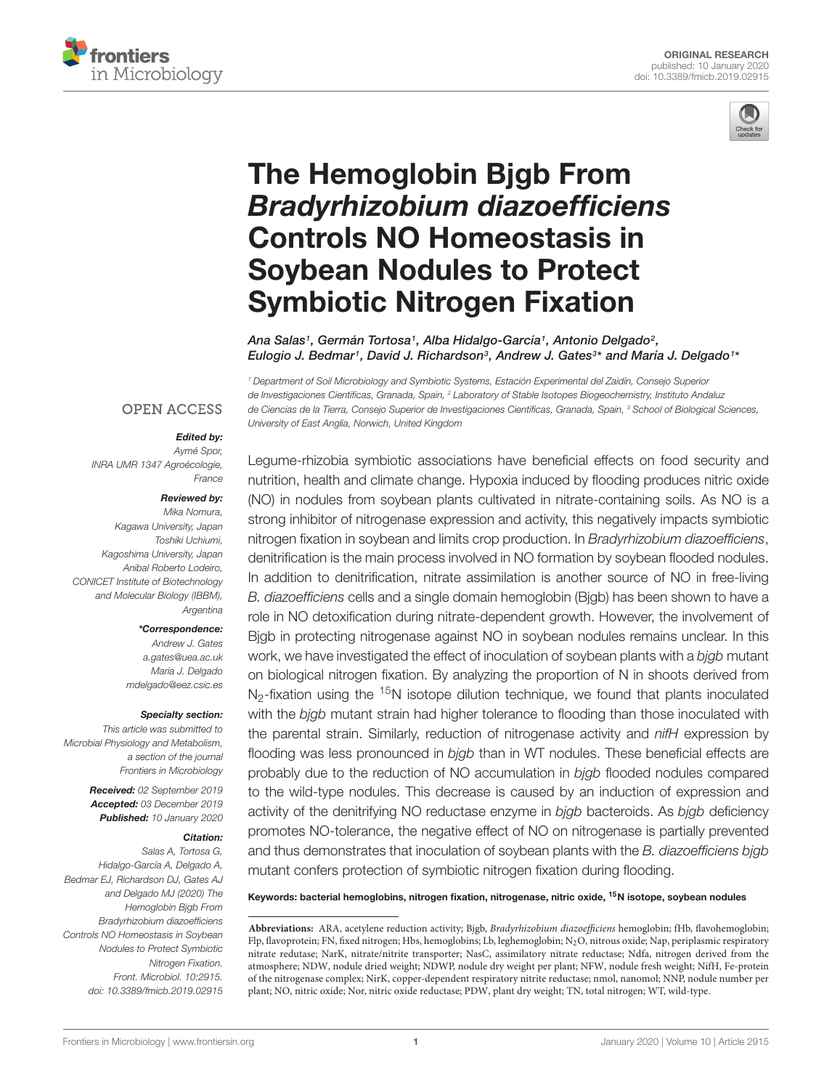



# The Hemoglobin Bjgb From [Bradyrhizobium diazoefficiens](https://www.frontiersin.org/articles/10.3389/fmicb.2019.02915/full) Controls NO Homeostasis in Soybean Nodules to Protect Symbiotic Nitrogen Fixation

[Ana Salas](http://loop.frontiersin.org/people/682073/overview)1, [Germán Tortosa](http://loop.frontiersin.org/people/782962/overview)1, [Alba Hidalgo-García](http://loop.frontiersin.org/people/687559/overview)1, [Antonio Delgado](http://loop.frontiersin.org/people/88350/overview)<sup>2</sup>, [Eulogio J. Bedmar](http://loop.frontiersin.org/people/336589/overview)1, [David J. Richardson](http://loop.frontiersin.org/people/47895/overview)<sup>3</sup>, [Andrew J. Gates](http://loop.frontiersin.org/people/367766/overview)<sup>3</sup>\* and [María J. Delgado](http://loop.frontiersin.org/people/102225/overview)1\*

<sup>1</sup> Department of Soil Microbiology and Symbiotic Systems, Estación Experimental del Zaidín, Consejo Superior de Investigaciones Científicas, Granada, Spain, <sup>2</sup> Laboratory of Stable Isotopes Biogeochemistry, Instituto Andaluz de Ciencias de la Tierra, Consejo Superior de Investigaciones Científicas, Granada, Spain, <sup>3</sup> School of Biological Sciences, University of East Anglia, Norwich, United Kingdom

## **OPEN ACCESS**

#### Edited by:

Aymé Spor, INRA UMR 1347 Agroécologie, France

#### Reviewed by:

Mika Nomura, Kagawa University, Japan Toshiki Uchiumi, Kagoshima University, Japan Anibal Roberto Lodeiro, CONICET Institute of Biotechnology and Molecular Biology (IBBM), Argentina

#### \*Correspondence:

Andrew J. Gates a.gates@uea.ac.uk María J. Delgado mdelgado@eez.csic.es

#### Specialty section:

This article was submitted to Microbial Physiology and Metabolism, a section of the journal Frontiers in Microbiology

> Received: 02 September 2019 Accepted: 03 December 2019 Published: 10 January 2020

#### Citation:

Salas A, Tortosa G, Hidalgo-García A, Delgado A, Bedmar EJ, Richardson DJ, Gates AJ and Delgado MJ (2020) The Hemoglobin Bjgb From Bradyrhizobium diazoefficiens Controls NO Homeostasis in Soybean Nodules to Protect Symbiotic Nitrogen Fixation. Front. Microbiol. 10:2915. doi: [10.3389/fmicb.2019.02915](https://doi.org/10.3389/fmicb.2019.02915)

Legume-rhizobia symbiotic associations have beneficial effects on food security and nutrition, health and climate change. Hypoxia induced by flooding produces nitric oxide (NO) in nodules from soybean plants cultivated in nitrate-containing soils. As NO is a strong inhibitor of nitrogenase expression and activity, this negatively impacts symbiotic nitrogen fixation in soybean and limits crop production. In Bradyrhizobium diazoefficiens, denitrification is the main process involved in NO formation by soybean flooded nodules. In addition to denitrification, nitrate assimilation is another source of NO in free-living B. diazoefficiens cells and a single domain hemoglobin (Bjgb) has been shown to have a role in NO detoxification during nitrate-dependent growth. However, the involvement of Bjgb in protecting nitrogenase against NO in soybean nodules remains unclear. In this work, we have investigated the effect of inoculation of soybean plants with a bjgb mutant on biological nitrogen fixation. By analyzing the proportion of N in shoots derived from  $N<sub>2</sub>$ -fixation using the <sup>15</sup>N isotope dilution technique, we found that plants inoculated with the bjgb mutant strain had higher tolerance to flooding than those inoculated with the parental strain. Similarly, reduction of nitrogenase activity and nifH expression by flooding was less pronounced in bigb than in WT nodules. These beneficial effects are probably due to the reduction of NO accumulation in bjgb flooded nodules compared to the wild-type nodules. This decrease is caused by an induction of expression and activity of the denitrifying NO reductase enzyme in bigb bacteroids. As bigb deficiency promotes NO-tolerance, the negative effect of NO on nitrogenase is partially prevented and thus demonstrates that inoculation of soybean plants with the B. diazoefficiens bigb mutant confers protection of symbiotic nitrogen fixation during flooding.

Keywords: bacterial hemoglobins, nitrogen fixation, nitrogenase, nitric oxide, <sup>15</sup>N isotope, soybean nodules

**Abbreviations:** ARA, acetylene reduction activity; Bjgb, Bradyrhizobium diazoefficiens hemoglobin; fHb, flavohemoglobin; Flp, flavoprotein; FN, fixed nitrogen; Hbs, hemoglobins; Lb, leghemoglobin; N<sub>2</sub>O, nitrous oxide; Nap, periplasmic respiratory nitrate redutase; NarK, nitrate/nitrite transporter; NasC, assimilatory nitrate reductase; Ndfa, nitrogen derived from the atmosphere; NDW, nodule dried weight; NDWP, nodule dry weight per plant; NFW, nodule fresh weight; NifH, Fe-protein of the nitrogenase complex; NirK, copper-dependent respiratory nitrite reductase; nmol, nanomol; NNP, nodule number per plant; NO, nitric oxide; Nor, nitric oxide reductase; PDW, plant dry weight; TN, total nitrogen; WT, wild-type.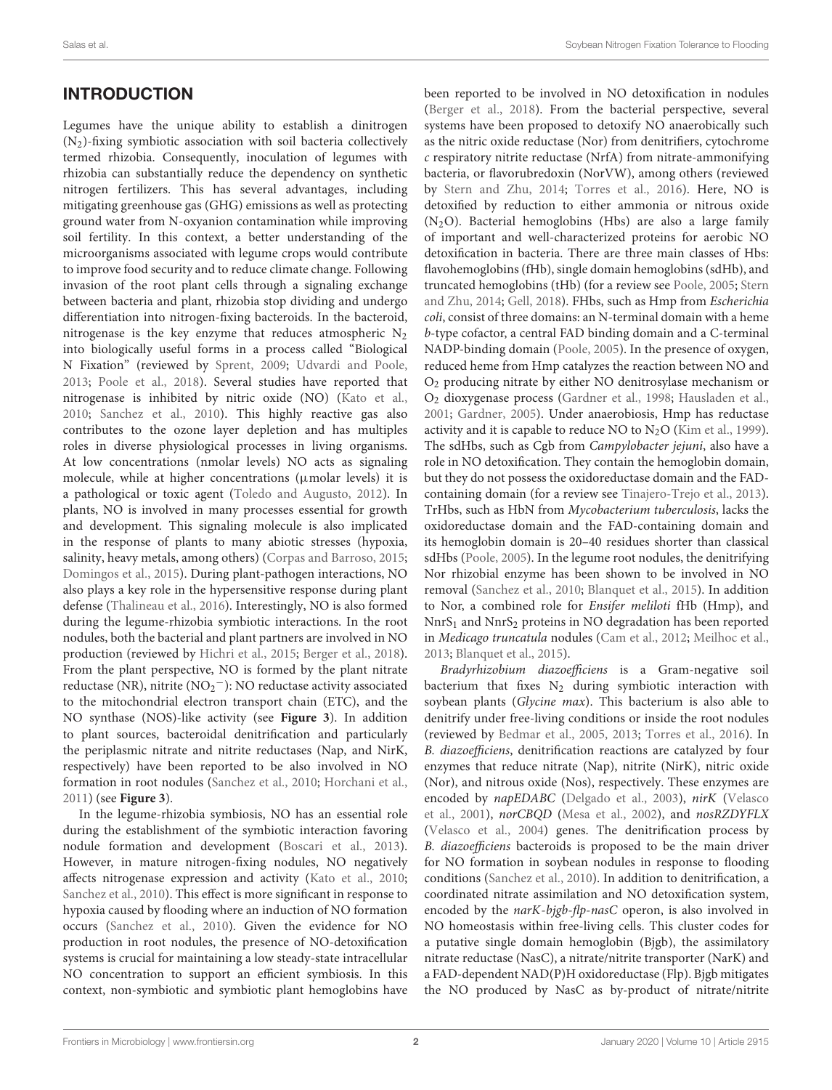# INTRODUCTION

Legumes have the unique ability to establish a dinitrogen (N2)-fixing symbiotic association with soil bacteria collectively termed rhizobia. Consequently, inoculation of legumes with rhizobia can substantially reduce the dependency on synthetic nitrogen fertilizers. This has several advantages, including mitigating greenhouse gas (GHG) emissions as well as protecting ground water from N-oxyanion contamination while improving soil fertility. In this context, a better understanding of the microorganisms associated with legume crops would contribute to improve food security and to reduce climate change. Following invasion of the root plant cells through a signaling exchange between bacteria and plant, rhizobia stop dividing and undergo differentiation into nitrogen-fixing bacteroids. In the bacteroid, nitrogenase is the key enzyme that reduces atmospheric  $N_2$ into biologically useful forms in a process called "Biological N Fixation" (reviewed by [Sprent,](#page-10-0) [2009;](#page-10-0) [Udvardi and Poole,](#page-10-1) [2013;](#page-10-1) [Poole et al.,](#page-10-2) [2018\)](#page-10-2). Several studies have reported that nitrogenase is inhibited by nitric oxide (NO) [\(Kato et al.,](#page-9-0) [2010;](#page-9-0) [Sanchez et al.,](#page-10-3) [2010\)](#page-10-3). This highly reactive gas also contributes to the ozone layer depletion and has multiples roles in diverse physiological processes in living organisms. At low concentrations (nmolar levels) NO acts as signaling molecule, while at higher concentrations (µmolar levels) it is a pathological or toxic agent [\(Toledo and Augusto,](#page-10-4) [2012\)](#page-10-4). In plants, NO is involved in many processes essential for growth and development. This signaling molecule is also implicated in the response of plants to many abiotic stresses (hypoxia, salinity, heavy metals, among others) [\(Corpas and Barroso,](#page-9-1) [2015;](#page-9-1) [Domingos et al.,](#page-9-2) [2015\)](#page-9-2). During plant-pathogen interactions, NO also plays a key role in the hypersensitive response during plant defense [\(Thalineau et al.,](#page-10-5) [2016\)](#page-10-5). Interestingly, NO is also formed during the legume-rhizobia symbiotic interactions. In the root nodules, both the bacterial and plant partners are involved in NO production (reviewed by [Hichri et al.,](#page-9-3) [2015;](#page-9-3) [Berger et al.,](#page-9-4) [2018\)](#page-9-4). From the plant perspective, NO is formed by the plant nitrate reductase (NR), nitrite (NO<sup>2</sup> <sup>−</sup>): NO reductase activity associated to the mitochondrial electron transport chain (ETC), and the NO synthase (NOS)-like activity (see **[Figure 3](#page-8-0)**). In addition to plant sources, bacteroidal denitrification and particularly the periplasmic nitrate and nitrite reductases (Nap, and NirK, respectively) have been reported to be also involved in NO formation in root nodules [\(Sanchez et al.,](#page-10-3) [2010;](#page-10-3) [Horchani et al.,](#page-9-5) [2011\)](#page-9-5) (see **[Figure 3](#page-8-0)**).

In the legume-rhizobia symbiosis, NO has an essential role during the establishment of the symbiotic interaction favoring nodule formation and development [\(Boscari et al.,](#page-9-6) [2013\)](#page-9-6). However, in mature nitrogen-fixing nodules, NO negatively affects nitrogenase expression and activity [\(Kato et al.,](#page-9-0) [2010;](#page-9-0) [Sanchez et al.,](#page-10-3) [2010\)](#page-10-3). This effect is more significant in response to hypoxia caused by flooding where an induction of NO formation occurs [\(Sanchez et al.,](#page-10-3) [2010\)](#page-10-3). Given the evidence for NO production in root nodules, the presence of NO-detoxification systems is crucial for maintaining a low steady-state intracellular NO concentration to support an efficient symbiosis. In this context, non-symbiotic and symbiotic plant hemoglobins have

been reported to be involved in NO detoxification in nodules [\(Berger et al.,](#page-9-4) [2018\)](#page-9-4). From the bacterial perspective, several systems have been proposed to detoxify NO anaerobically such as the nitric oxide reductase (Nor) from denitrifiers, cytochrome c respiratory nitrite reductase (NrfA) from nitrate-ammonifying bacteria, or flavorubredoxin (NorVW), among others (reviewed by [Stern and Zhu,](#page-10-6) [2014;](#page-10-6) [Torres et al.,](#page-10-7) [2016\)](#page-10-7). Here, NO is detoxified by reduction to either ammonia or nitrous oxide  $(N_2O)$ . Bacterial hemoglobins (Hbs) are also a large family of important and well-characterized proteins for aerobic NO detoxification in bacteria. There are three main classes of Hbs: flavohemoglobins (fHb), single domain hemoglobins (sdHb), and truncated hemoglobins (tHb) (for a review see [Poole,](#page-10-8) [2005;](#page-10-8) [Stern](#page-10-6) [and Zhu,](#page-10-6) [2014;](#page-10-6) [Gell,](#page-9-7) [2018\)](#page-9-7). FHbs, such as Hmp from Escherichia coli, consist of three domains: an N-terminal domain with a heme b-type cofactor, a central FAD binding domain and a C-terminal NADP-binding domain [\(Poole,](#page-10-8) [2005\)](#page-10-8). In the presence of oxygen, reduced heme from Hmp catalyzes the reaction between NO and O<sup>2</sup> producing nitrate by either NO denitrosylase mechanism or O<sup>2</sup> dioxygenase process [\(Gardner et al.,](#page-9-8) [1998;](#page-9-8) [Hausladen et al.,](#page-9-9) [2001;](#page-9-9) [Gardner,](#page-9-10) [2005\)](#page-9-10). Under anaerobiosis, Hmp has reductase activity and it is capable to reduce NO to  $N_2O$  [\(Kim et al.,](#page-9-11) [1999\)](#page-9-11). The sdHbs, such as Cgb from Campylobacter jejuni, also have a role in NO detoxification. They contain the hemoglobin domain, but they do not possess the oxidoreductase domain and the FADcontaining domain (for a review see [Tinajero-Trejo et al.,](#page-10-9) [2013\)](#page-10-9). TrHbs, such as HbN from Mycobacterium tuberculosis, lacks the oxidoreductase domain and the FAD-containing domain and its hemoglobin domain is 20–40 residues shorter than classical sdHbs [\(Poole,](#page-10-8) [2005\)](#page-10-8). In the legume root nodules, the denitrifying Nor rhizobial enzyme has been shown to be involved in NO removal [\(Sanchez et al.,](#page-10-3) [2010;](#page-10-3) [Blanquet et al.,](#page-9-12) [2015\)](#page-9-12). In addition to Nor, a combined role for Ensifer meliloti fHb (Hmp), and  $NnrS<sub>1</sub>$  and  $NnrS<sub>2</sub>$  proteins in NO degradation has been reported in Medicago truncatula nodules [\(Cam et al.,](#page-9-13) [2012;](#page-9-13) [Meilhoc et al.,](#page-9-14) [2013;](#page-9-14) [Blanquet et al.,](#page-9-12) [2015\)](#page-9-12).

Bradyrhizobium diazoefficiens is a Gram-negative soil bacterium that fixes  $N_2$  during symbiotic interaction with soybean plants (Glycine max). This bacterium is also able to denitrify under free-living conditions or inside the root nodules (reviewed by [Bedmar et al.,](#page-9-15) [2005,](#page-9-15) [2013;](#page-9-16) [Torres et al.,](#page-10-7) [2016\)](#page-10-7). In B. diazoefficiens, denitrification reactions are catalyzed by four enzymes that reduce nitrate (Nap), nitrite (NirK), nitric oxide (Nor), and nitrous oxide (Nos), respectively. These enzymes are encoded by napEDABC [\(Delgado et al.,](#page-9-17) [2003\)](#page-9-17), nirK [\(Velasco](#page-10-10) [et al.,](#page-10-10) [2001\)](#page-10-10), norCBQD [\(Mesa et al.,](#page-10-11) [2002\)](#page-10-11), and nosRZDYFLX [\(Velasco et al.,](#page-10-12) [2004\)](#page-10-12) genes. The denitrification process by B. diazoefficiens bacteroids is proposed to be the main driver for NO formation in soybean nodules in response to flooding conditions [\(Sanchez et al.,](#page-10-3) [2010\)](#page-10-3). In addition to denitrification, a coordinated nitrate assimilation and NO detoxification system, encoded by the *narK-bjgb-flp-nasC* operon, is also involved in NO homeostasis within free-living cells. This cluster codes for a putative single domain hemoglobin (Bjgb), the assimilatory nitrate reductase (NasC), a nitrate/nitrite transporter (NarK) and a FAD-dependent NAD(P)H oxidoreductase (Flp). Bjgb mitigates the NO produced by NasC as by-product of nitrate/nitrite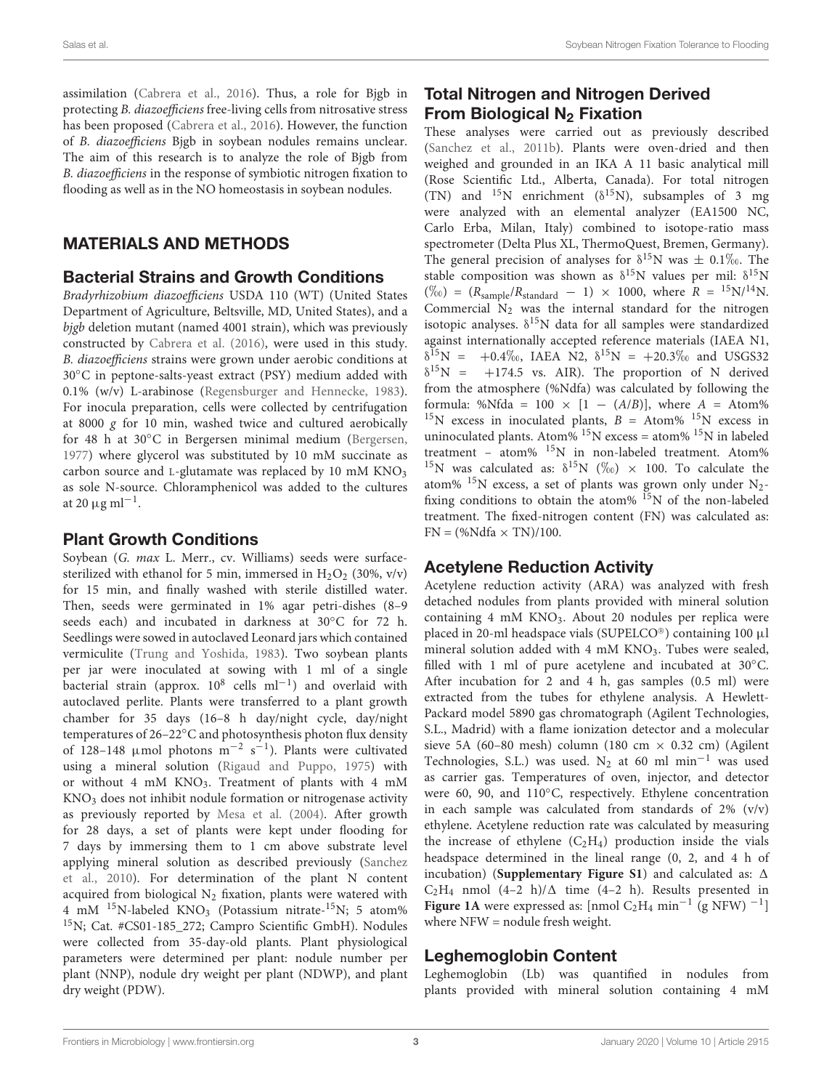assimilation [\(Cabrera et al.,](#page-9-18) [2016\)](#page-9-18). Thus, a role for Bjgb in protecting B. diazoefficiens free-living cells from nitrosative stress has been proposed [\(Cabrera et al.,](#page-9-18) [2016\)](#page-9-18). However, the function of B. diazoefficiens Bjgb in soybean nodules remains unclear. The aim of this research is to analyze the role of Bjgb from B. diazoefficiens in the response of symbiotic nitrogen fixation to flooding as well as in the NO homeostasis in soybean nodules.

# MATERIALS AND METHODS

## Bacterial Strains and Growth Conditions

Bradyrhizobium diazoefficiens USDA 110 (WT) (United States Department of Agriculture, Beltsville, MD, United States), and a bjgb deletion mutant (named 4001 strain), which was previously constructed by [Cabrera et al.](#page-9-18) [\(2016\)](#page-9-18), were used in this study. B. diazoefficiens strains were grown under aerobic conditions at 30◦C in peptone-salts-yeast extract (PSY) medium added with 0.1% (w/v) L-arabinose [\(Regensburger and Hennecke,](#page-10-13) [1983\)](#page-10-13). For inocula preparation, cells were collected by centrifugation at 8000 g for 10 min, washed twice and cultured aerobically for 48 h at 30°C in Bergersen minimal medium [\(Bergersen,](#page-9-19) [1977\)](#page-9-19) where glycerol was substituted by 10 mM succinate as carbon source and L-glutamate was replaced by 10 mM  $KNO<sub>3</sub>$ as sole N-source. Chloramphenicol was added to the cultures at 20  $\mu$ g ml<sup>-1</sup>.

# Plant Growth Conditions

Soybean (G. max L. Merr., cv. Williams) seeds were surfacesterilized with ethanol for 5 min, immersed in  $H_2O_2$  (30%, v/v) for 15 min, and finally washed with sterile distilled water. Then, seeds were germinated in 1% agar petri-dishes (8–9 seeds each) and incubated in darkness at 30◦C for 72 h. Seedlings were sowed in autoclaved Leonard jars which contained vermiculite [\(Trung and Yoshida,](#page-10-14) [1983\)](#page-10-14). Two soybean plants per jar were inoculated at sowing with 1 ml of a single Dacterial strain (approx. 10<sup>8</sup> cells ml<sup>-1</sup>) and overlaid with autoclaved perlite. Plants were transferred to a plant growth chamber for 35 days (16–8 h day/night cycle, day/night temperatures of 26–22◦C and photosynthesis photon flux density of 128-148 µmol photons  $m^{-2}$  s<sup>-1</sup>). Plants were cultivated using a mineral solution [\(Rigaud and Puppo,](#page-10-15) [1975\)](#page-10-15) with or without 4 mM KNO<sub>3</sub>. Treatment of plants with 4 mM KNO<sup>3</sup> does not inhibit nodule formation or nitrogenase activity as previously reported by [Mesa et al.](#page-9-20) [\(2004\)](#page-9-20). After growth for 28 days, a set of plants were kept under flooding for 7 days by immersing them to 1 cm above substrate level applying mineral solution as described previously [\(Sanchez](#page-10-3) [et al.,](#page-10-3) [2010\)](#page-10-3). For determination of the plant N content acquired from biological  $N_2$  fixation, plants were watered with 4 mM <sup>15</sup>N-labeled KNO<sub>3</sub> (Potassium nitrate-<sup>15</sup>N; 5 atom% <sup>15</sup>N; Cat. #CS01-185\_272; Campro Scientific GmbH). Nodules were collected from 35-day-old plants. Plant physiological parameters were determined per plant: nodule number per plant (NNP), nodule dry weight per plant (NDWP), and plant dry weight (PDW).

# Total Nitrogen and Nitrogen Derived From Biological  $N_2$  Fixation

These analyses were carried out as previously described [\(Sanchez et al.,](#page-10-16) [2011b\)](#page-10-16). Plants were oven-dried and then weighed and grounded in an IKA A 11 basic analytical mill (Rose Scientific Ltd., Alberta, Canada). For total nitrogen (TN) and  $^{15}N$  enrichment ( $\delta^{15}N$ ), subsamples of 3 mg were analyzed with an elemental analyzer (EA1500 NC, Carlo Erba, Milan, Italy) combined to isotope-ratio mass spectrometer (Delta Plus XL, ThermoQuest, Bremen, Germany). The general precision of analyses for  $\delta^{15}N$  was  $\pm 0.1\%$ . The stable composition was shown as  $\delta^{15}N$  values per mil:  $\delta^{15}N$  $(\%) = (R_{sample}/R_{standard} - 1) \times 1000$ , where  $R = {}^{15}N/{}^{14}N$ . Commercial  $N<sub>2</sub>$  was the internal standard for the nitrogen isotopic analyses.  $\delta^{15}N$  data for all samples were standardized against internationally accepted reference materials (IAEA N1,  $\delta^{15}N = +0.4\%$ , IAEA N2,  $\delta^{15}N = +20.3\%$  and USGS32  $\delta^{15}N = +174.5$  vs. AIR). The proportion of N derived from the atmosphere (%Ndfa) was calculated by following the formula: %Nfda = 100  $\times$  [1 – (A/B)], where A = Atom% <sup>15</sup>N excess in inoculated plants,  $B =$  Atom%<sup>15</sup>N excess in uninoculated plants. Atom%  $^{15}N$  excess = atom%  $^{15}N$  in labeled treatment – atom% <sup>15</sup>N in non-labeled treatment. Atom% <sup>15</sup>N was calculated as:  $\delta^{15}N$  (%) × 100. To calculate the atom%  $^{15}N$  excess, a set of plants was grown only under N<sub>2</sub>fixing conditions to obtain the atom%  $15N$  of the non-labeled treatment. The fixed-nitrogen content (FN) was calculated as:  $FN = (\%Ndfa \times TN)/100$ .

# Acetylene Reduction Activity

Acetylene reduction activity (ARA) was analyzed with fresh detached nodules from plants provided with mineral solution containing 4 mM KNO<sub>3</sub>. About 20 nodules per replica were placed in 20-ml headspace vials (SUPELCO®) containing 100 µl mineral solution added with 4 mM KNO<sub>3</sub>. Tubes were sealed, filled with 1 ml of pure acetylene and incubated at 30°C. After incubation for 2 and 4 h, gas samples (0.5 ml) were extracted from the tubes for ethylene analysis. A Hewlett-Packard model 5890 gas chromatograph (Agilent Technologies, S.L., Madrid) with a flame ionization detector and a molecular sieve 5A (60–80 mesh) column (180 cm  $\times$  0.32 cm) (Agilent Technologies, S.L.) was used. N<sub>2</sub> at 60 ml min<sup>-1</sup> was used as carrier gas. Temperatures of oven, injector, and detector were 60, 90, and 110◦C, respectively. Ethylene concentration in each sample was calculated from standards of 2% (v/v) ethylene. Acetylene reduction rate was calculated by measuring the increase of ethylene  $(C_2H_4)$  production inside the vials headspace determined in the lineal range (0, 2, and 4 h of incubation) (**[Supplementary Figure S1](#page-9-21)**) and calculated as:  $\Delta$  $C_2H_4$  nmol (4–2 h)/ $\Delta$  time (4–2 h). Results presented in **[Figure 1A](#page-3-0)** were expressed as:  $\text{[nmol C}_2\text{H}_4 \text{min}^{-1} \text{ (g NFW)}^{-1} \text{]}$ where NFW = nodule fresh weight.

# Leghemoglobin Content

Leghemoglobin (Lb) was quantified in nodules from plants provided with mineral solution containing 4 mM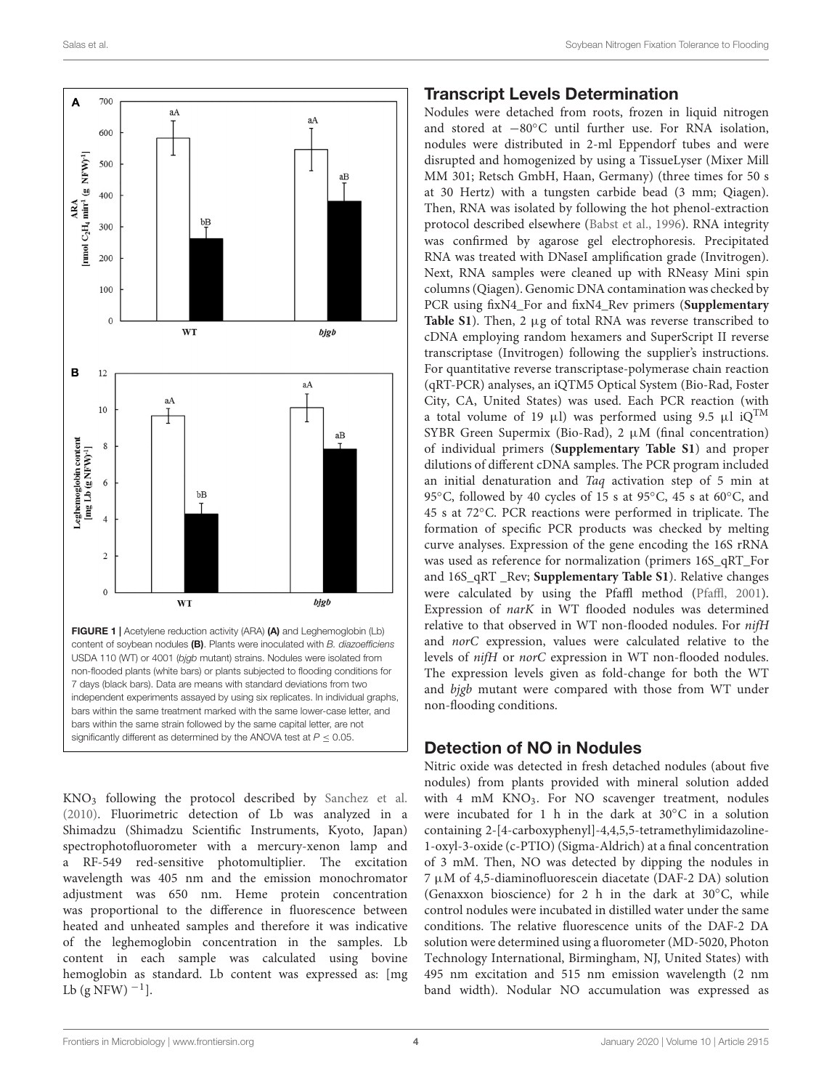

<span id="page-3-0"></span>FIGURE 1 | Acetylene reduction activity (ARA) (A) and Leghemoglobin (Lb) content of soybean nodules (B). Plants were inoculated with B. diazoefficiens USDA 110 (WT) or 4001 (bjgb mutant) strains. Nodules were isolated from non-flooded plants (white bars) or plants subjected to flooding conditions for 7 days (black bars). Data are means with standard deviations from two independent experiments assayed by using six replicates. In individual graphs, bars within the same treatment marked with the same lower-case letter, and bars within the same strain followed by the same capital letter, are not significantly different as determined by the ANOVA test at  $P \le 0.05$ .

KNO<sup>3</sup> following the protocol described by [Sanchez et al.](#page-10-3) [\(2010\)](#page-10-3). Fluorimetric detection of Lb was analyzed in a Shimadzu (Shimadzu Scientific Instruments, Kyoto, Japan) spectrophotofluorometer with a mercury-xenon lamp and a RF-549 red-sensitive photomultiplier. The excitation wavelength was 405 nm and the emission monochromator adjustment was 650 nm. Heme protein concentration was proportional to the difference in fluorescence between heated and unheated samples and therefore it was indicative of the leghemoglobin concentration in the samples. Lb content in each sample was calculated using bovine hemoglobin as standard. Lb content was expressed as: [mg Lb  $(g$  NFW $)^{-1}$ ].

#### Transcript Levels Determination

Nodules were detached from roots, frozen in liquid nitrogen and stored at −80◦C until further use. For RNA isolation, nodules were distributed in 2-ml Eppendorf tubes and were disrupted and homogenized by using a TissueLyser (Mixer Mill MM 301; Retsch GmbH, Haan, Germany) (three times for 50 s at 30 Hertz) with a tungsten carbide bead (3 mm; Qiagen). Then, RNA was isolated by following the hot phenol-extraction protocol described elsewhere [\(Babst et al.,](#page-9-22) [1996\)](#page-9-22). RNA integrity was confirmed by agarose gel electrophoresis. Precipitated RNA was treated with DNaseI amplification grade (Invitrogen). Next, RNA samples were cleaned up with RNeasy Mini spin columns (Qiagen). Genomic DNA contamination was checked by PCR using fixN4\_For and fixN4\_Rev primers (**[Supplementary](#page-9-21) [Table S1](#page-9-21)**). Then, 2 µg of total RNA was reverse transcribed to cDNA employing random hexamers and SuperScript II reverse transcriptase (Invitrogen) following the supplier's instructions. For quantitative reverse transcriptase-polymerase chain reaction (qRT-PCR) analyses, an iQTM5 Optical System (Bio-Rad, Foster City, CA, United States) was used. Each PCR reaction (with a total volume of 19 µl) was performed using 9.5 µl iQ<sup>TM</sup> SYBR Green Supermix (Bio-Rad),  $2 \mu M$  (final concentration) of individual primers (**[Supplementary Table S1](#page-9-21)**) and proper dilutions of different cDNA samples. The PCR program included an initial denaturation and Taq activation step of 5 min at 95℃, followed by 40 cycles of 15 s at 95℃, 45 s at 60°C, and 45 s at 72◦C. PCR reactions were performed in triplicate. The formation of specific PCR products was checked by melting curve analyses. Expression of the gene encoding the 16S rRNA was used as reference for normalization (primers 16S\_qRT\_For and 16S\_qRT \_Rev; **[Supplementary Table S1](#page-9-21)**). Relative changes were calculated by using the Pfaffl method [\(Pfaffl,](#page-10-17) [2001\)](#page-10-17). Expression of narK in WT flooded nodules was determined relative to that observed in WT non-flooded nodules. For nifH and norC expression, values were calculated relative to the levels of nifH or norC expression in WT non-flooded nodules. The expression levels given as fold-change for both the WT and bjgb mutant were compared with those from WT under non-flooding conditions.

## Detection of NO in Nodules

Nitric oxide was detected in fresh detached nodules (about five nodules) from plants provided with mineral solution added with 4 mM KNO<sub>3</sub>. For NO scavenger treatment, nodules were incubated for 1 h in the dark at 30◦C in a solution containing 2-[4-carboxyphenyl]-4,4,5,5-tetramethylimidazoline-1-oxyl-3-oxide (c-PTIO) (Sigma-Aldrich) at a final concentration of 3 mM. Then, NO was detected by dipping the nodules in  $7 \mu$ M of 4,5-diaminofluorescein diacetate (DAF-2 DA) solution (Genaxxon bioscience) for 2 h in the dark at 30◦C, while control nodules were incubated in distilled water under the same conditions. The relative fluorescence units of the DAF-2 DA solution were determined using a fluorometer (MD-5020, Photon Technology International, Birmingham, NJ, United States) with 495 nm excitation and 515 nm emission wavelength (2 nm band width). Nodular NO accumulation was expressed as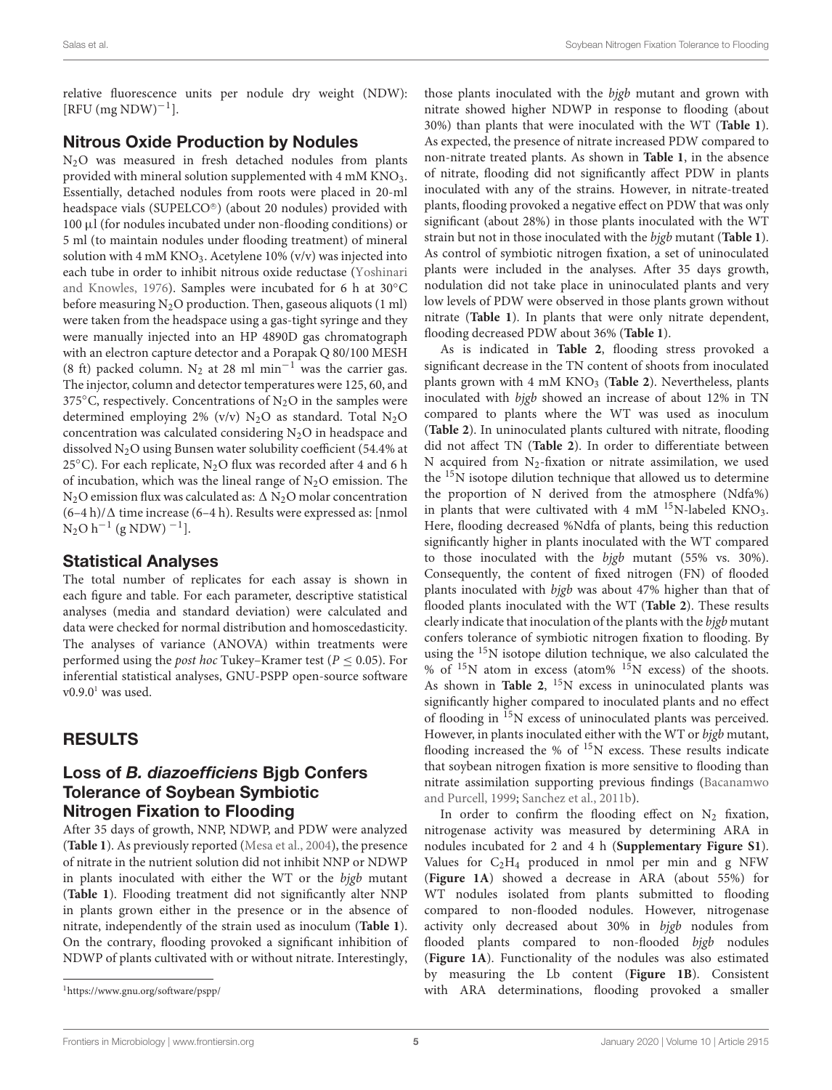relative fluorescence units per nodule dry weight (NDW):  $[RFU (mg NDW)^{-1}].$ 

## Nitrous Oxide Production by Nodules

N<sub>2</sub>O was measured in fresh detached nodules from plants provided with mineral solution supplemented with 4 mM KNO3. Essentially, detached nodules from roots were placed in 20-ml headspace vials (SUPELCO®) (about 20 nodules) provided with 100 µl (for nodules incubated under non-flooding conditions) or 5 ml (to maintain nodules under flooding treatment) of mineral solution with 4 mM KNO<sub>3</sub>. Acetylene 10% (v/v) was injected into each tube in order to inhibit nitrous oxide reductase [\(Yoshinari](#page-10-18) [and Knowles,](#page-10-18) [1976\)](#page-10-18). Samples were incubated for 6 h at 30◦C before measuring  $N_2O$  production. Then, gaseous aliquots (1 ml) were taken from the headspace using a gas-tight syringe and they were manually injected into an HP 4890D gas chromatograph with an electron capture detector and a Porapak Q 80/100 MESH (8 ft) packed column. N<sub>2</sub> at 28 ml min<sup>-1</sup> was the carrier gas. The injector, column and detector temperatures were 125, 60, and 375°C, respectively. Concentrations of  $N_2O$  in the samples were determined employing 2% (v/v)  $N_2O$  as standard. Total  $N_2O$ concentration was calculated considering  $N_2O$  in headspace and dissolved N2O using Bunsen water solubility coefficient (54.4% at 25 $^{\circ}$ C). For each replicate, N<sub>2</sub>O flux was recorded after 4 and 6 h of incubation, which was the lineal range of  $N_2O$  emission. The N<sub>2</sub>O emission flux was calculated as:  $\Delta$  N<sub>2</sub>O molar concentration  $(6-4 h)/\Delta$  time increase (6–4 h). Results were expressed as: [nmol]  $N_2O h^{-1}$  (g NDW)  $^{-1}$ ].

## Statistical Analyses

The total number of replicates for each assay is shown in each figure and table. For each parameter, descriptive statistical analyses (media and standard deviation) were calculated and data were checked for normal distribution and homoscedasticity. The analyses of variance (ANOVA) within treatments were performed using the *post hoc* Tukey–Kramer test ( $P \leq 0.05$ ). For inferential statistical analyses, GNU-PSPP open-source software  $v0.9.0<sup>1</sup>$  $v0.9.0<sup>1</sup>$  $v0.9.0<sup>1</sup>$  was used.

## RESULTS

## Loss of B. diazoefficiens Bjgb Confers Tolerance of Soybean Symbiotic Nitrogen Fixation to Flooding

After 35 days of growth, NNP, NDWP, and PDW were analyzed (**[Table 1](#page-5-0)**). As previously reported [\(Mesa et al.,](#page-9-20) [2004\)](#page-9-20), the presence of nitrate in the nutrient solution did not inhibit NNP or NDWP in plants inoculated with either the WT or the bjgb mutant (**[Table 1](#page-5-0)**). Flooding treatment did not significantly alter NNP in plants grown either in the presence or in the absence of nitrate, independently of the strain used as inoculum (**[Table 1](#page-5-0)**). On the contrary, flooding provoked a significant inhibition of NDWP of plants cultivated with or without nitrate. Interestingly,

<span id="page-4-0"></span><sup>1</sup><https://www.gnu.org/software/pspp/>

those plants inoculated with the bjgb mutant and grown with nitrate showed higher NDWP in response to flooding (about 30%) than plants that were inoculated with the WT (**[Table 1](#page-5-0)**). As expected, the presence of nitrate increased PDW compared to non-nitrate treated plants. As shown in **[Table 1](#page-5-0)**, in the absence of nitrate, flooding did not significantly affect PDW in plants inoculated with any of the strains. However, in nitrate-treated plants, flooding provoked a negative effect on PDW that was only significant (about 28%) in those plants inoculated with the WT strain but not in those inoculated with the bjgb mutant (**[Table 1](#page-5-0)**). As control of symbiotic nitrogen fixation, a set of uninoculated plants were included in the analyses. After 35 days growth, nodulation did not take place in uninoculated plants and very low levels of PDW were observed in those plants grown without nitrate (**[Table 1](#page-5-0)**). In plants that were only nitrate dependent, flooding decreased PDW about 36% (**[Table 1](#page-5-0)**).

As is indicated in **[Table 2](#page-5-1)**, flooding stress provoked a significant decrease in the TN content of shoots from inoculated plants grown with 4 mM KNO<sub>3</sub> ([Table 2](#page-5-1)). Nevertheless, plants inoculated with bjgb showed an increase of about 12% in TN compared to plants where the WT was used as inoculum (**[Table 2](#page-5-1)**). In uninoculated plants cultured with nitrate, flooding did not affect TN (**[Table 2](#page-5-1)**). In order to differentiate between N acquired from  $N_2$ -fixation or nitrate assimilation, we used the  $15N$  isotope dilution technique that allowed us to determine the proportion of N derived from the atmosphere (Ndfa%) in plants that were cultivated with 4 mM  $^{15}$ N-labeled KNO<sub>3</sub>. Here, flooding decreased %Ndfa of plants, being this reduction significantly higher in plants inoculated with the WT compared to those inoculated with the bjgb mutant (55% vs. 30%). Consequently, the content of fixed nitrogen (FN) of flooded plants inoculated with bjgb was about 47% higher than that of flooded plants inoculated with the WT (**[Table 2](#page-5-1)**). These results clearly indicate that inoculation of the plants with the bjgb mutant confers tolerance of symbiotic nitrogen fixation to flooding. By using the <sup>15</sup>N isotope dilution technique, we also calculated the % of  $15N$  atom in excess (atom%  $15N$  excess) of the shoots. As shown in **[Table 2](#page-5-1)**, <sup>15</sup>N excess in uninoculated plants was significantly higher compared to inoculated plants and no effect of flooding in <sup>15</sup>N excess of uninoculated plants was perceived. However, in plants inoculated either with the WT or bjgb mutant, flooding increased the % of <sup>15</sup>N excess. These results indicate that soybean nitrogen fixation is more sensitive to flooding than nitrate assimilation supporting previous findings [\(Bacanamwo](#page-9-23) [and Purcell,](#page-9-23) [1999;](#page-9-23) [Sanchez et al.,](#page-10-16) [2011b\)](#page-10-16).

In order to confirm the flooding effect on  $N_2$  fixation, nitrogenase activity was measured by determining ARA in nodules incubated for 2 and 4 h (**[Supplementary Figure S1](#page-9-21)**). Values for  $C_2H_4$  produced in nmol per min and g NFW (**[Figure 1A](#page-3-0)**) showed a decrease in ARA (about 55%) for WT nodules isolated from plants submitted to flooding compared to non-flooded nodules. However, nitrogenase activity only decreased about 30% in bjgb nodules from flooded plants compared to non-flooded bjgb nodules (**[Figure 1A](#page-3-0)**). Functionality of the nodules was also estimated by measuring the Lb content (**[Figure 1B](#page-3-0)**). Consistent with ARA determinations, flooding provoked a smaller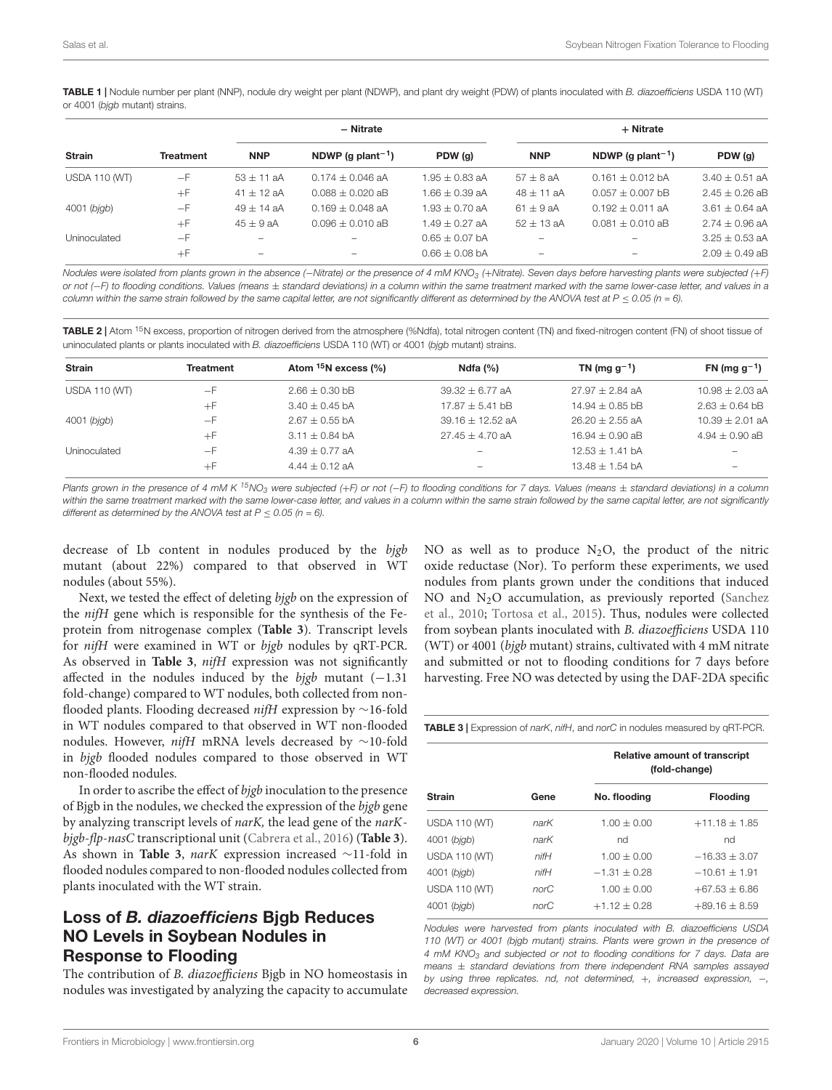<span id="page-5-0"></span>TABLE 1 | Nodule number per plant (NNP), nodule dry weight per plant (NDWP), and plant dry weight (PDW) of plants inoculated with B. diazoefficiens USDA 110 (WT) or 4001 (bjgb mutant) strains.

| <b>Strain</b>        | <b>Treatment</b> | - Nitrate                |                               |                    | + Nitrate      |                               |                    |
|----------------------|------------------|--------------------------|-------------------------------|--------------------|----------------|-------------------------------|--------------------|
|                      |                  | <b>NNP</b>               | NDWP (g plant <sup>-1</sup> ) | PDW (g)            | <b>NNP</b>     | NDWP (q plant <sup>-1</sup> ) | PDW (g)            |
| <b>USDA 110 (WT)</b> | $-F$             | $53 \pm 11$ aA           | $0.174 \pm 0.046$ aA          | $1.95 \pm 0.83$ aA | $57 \pm 8$ aA  | $0.161 \pm 0.012$ bA          | $3.40 \pm 0.51$ aA |
|                      | $+F$             | $41 \pm 12$ aA           | $0.088 + 0.020$ aB            | $1.66 \pm 0.39$ aA | $48 \pm 11$ aA | $0.057 \pm 0.007$ bB          | $2.45 \pm 0.26$ aB |
| 4001 (bjgb)          | $-F$             | $49 + 14$ aA             | $0.169 + 0.048$ aA            | $1.93 + 0.70$ aA   | $61 + 9$ aA    | $0.192 + 0.011$ aA            | $3.61 + 0.64$ aA   |
|                      | $+F$             | $45 + 9$ aA              | $0.096 + 0.010$ aB            | $1.49 + 0.27$ aA   | $52 + 13$ aA   | $0.081 + 0.010$ aB            | $2.74 \pm 0.96$ aA |
| Uninoculated         | $-F$             |                          |                               | $0.65 \pm 0.07$ bA | -              | $\overline{\phantom{a}}$      | $3.25 \pm 0.53$ aA |
|                      | $+F$             | $\overline{\phantom{a}}$ | -                             | $0.66 + 0.08$ bA   | ۰              | $\overline{\phantom{a}}$      | $2.09 + 0.49$ aB   |

Nodules were isolated from plants grown in the absence (-Nitrate) or the presence of 4 mM KNO<sub>3</sub> (+Nitrate). Seven days before harvesting plants were subjected (+F) or not (-F) to flooding conditions. Values (means ± standard deviations) in a column within the same treatment marked with the same lower-case letter, and values in a column within the same strain followed by the same capital letter, are not significantly different as determined by the ANOVA test at  $P \le 0.05$  (n = 6).

<span id="page-5-1"></span>TABLE 2 | Atom <sup>15</sup>N excess, proportion of nitrogen derived from the atmosphere (%Ndfa), total nitrogen content (TN) and fixed-nitrogen content (FN) of shoot tissue of uninoculated plants or plants inoculated with B. diazoefficiens USDA 110 (WT) or 4001 (bjgb mutant) strains.

| <b>Strain</b>        | <b>Treatment</b> | Atom <sup>15</sup> N excess (%) | Ndfa $(%)$         | TN (mg $g^{-1}$ )   | FN (mg $g^{-1}$ )   |
|----------------------|------------------|---------------------------------|--------------------|---------------------|---------------------|
| <b>USDA 110 (WT)</b> | $-F$             | $2.66 \pm 0.30$ bB              | $39.32 + 6.77$ aA  | $27.97 \pm 2.84$ aA | $10.98 \pm 2.03$ aA |
|                      | $+F$             | $3.40 + 0.45$ bA                | $17.87 + 5.41$ bB  | $14.94 \pm 0.85$ bB | $2.63 \pm 0.64$ bB  |
| 4001 (bjgb)          | $-F$             | $2.67 + 0.55$ bA                | $39.16 + 12.52$ aA | $26.20 + 2.55$ aA   | $10.39 + 2.01$ aA   |
|                      | $+F$             | $3.11 + 0.84$ bA                | $27.45 + 4.70$ aA  | $16.94 + 0.90$ aB   | $4.94 \pm 0.90$ aB  |
| Uninoculated         | $-F$             | $4.39 + 0.77$ aA                |                    | $12.53 \pm 1.41$ bA |                     |
|                      | $+F$             | $4.44 \pm 0.12$ aA              | -                  | 13.48 $\pm$ 1.54 bA |                     |

Plants grown in the presence of 4 mM K <sup>15</sup>NO<sub>3</sub> were subjected (+F) or not (-F) to flooding conditions for 7 days. Values (means ± standard deviations) in a column within the same treatment marked with the same lower-case letter, and values in a column within the same strain followed by the same capital letter, are not significantly different as determined by the ANOVA test at  $P \le 0.05$  (n = 6).

decrease of Lb content in nodules produced by the bjgb mutant (about 22%) compared to that observed in WT nodules (about 55%).

Next, we tested the effect of deleting bjgb on the expression of the nifH gene which is responsible for the synthesis of the Feprotein from nitrogenase complex (**[Table 3](#page-5-2)**). Transcript levels for nifH were examined in WT or bjgb nodules by qRT-PCR. As observed in **[Table 3](#page-5-2)**, nifH expression was not significantly affected in the nodules induced by the bigb mutant  $(-1.31)$ fold-change) compared to WT nodules, both collected from nonflooded plants. Flooding decreased nifH expression by ∼16-fold in WT nodules compared to that observed in WT non-flooded nodules. However, nifH mRNA levels decreased by ∼10-fold in bjgb flooded nodules compared to those observed in WT non-flooded nodules.

In order to ascribe the effect of bjgb inoculation to the presence of Bjgb in the nodules, we checked the expression of the bjgb gene by analyzing transcript levels of narK, the lead gene of the narKbjgb-flp-nasC transcriptional unit [\(Cabrera et al.,](#page-9-18) [2016\)](#page-9-18) (**[Table 3](#page-5-2)**). As shown in **[Table 3](#page-5-2)**, narK expression increased ∼11-fold in flooded nodules compared to non-flooded nodules collected from plants inoculated with the WT strain.

# Loss of B. diazoefficiens Bjgb Reduces NO Levels in Soybean Nodules in Response to Flooding

The contribution of B. diazoefficiens Bjgb in NO homeostasis in nodules was investigated by analyzing the capacity to accumulate NO as well as to produce  $N_2O$ , the product of the nitric oxide reductase (Nor). To perform these experiments, we used nodules from plants grown under the conditions that induced NO and  $N_2O$  accumulation, as previously reported [\(Sanchez](#page-10-3) [et al.,](#page-10-3) [2010;](#page-10-3) [Tortosa et al.,](#page-10-19) [2015\)](#page-10-19). Thus, nodules were collected from soybean plants inoculated with B. diazoefficiens USDA 110 (WT) or 4001 (bjgb mutant) strains, cultivated with 4 mM nitrate and submitted or not to flooding conditions for 7 days before harvesting. Free NO was detected by using the DAF-2DA specific

<span id="page-5-2"></span>TABLE 3 | Expression of narK, nifH, and norC in nodules measured by qRT-PCR.

|                      |            | <b>Relative amount of transcript</b><br>(fold-change) |                   |  |
|----------------------|------------|-------------------------------------------------------|-------------------|--|
| <b>Strain</b>        | Gene       | No. flooding                                          | <b>Flooding</b>   |  |
| <b>USDA 110 (WT)</b> | narK       | $1.00 + 0.00$                                         | $+11.18 \pm 1.85$ |  |
| 4001 (bjgb)          | narK       | nd                                                    | nd                |  |
| <b>USDA 110 (WT)</b> | $n$ if $H$ | $1.00 + 0.00$                                         | $-16.33 + 3.07$   |  |
| 4001 (bjgb)          | $n$ if $H$ | $-1.31 + 0.28$                                        | $-10.61 + 1.91$   |  |
| <b>USDA 110 (WT)</b> | norC       | $1.00 + 0.00$                                         | $+67.53 \pm 6.86$ |  |
| $4001$ (bigb)        | norC       | $+1.12 \pm 0.28$                                      | $+89.16 \pm 8.59$ |  |

Nodules were harvested from plants inoculated with B. diazoefficiens USDA 110 (WT) or 4001 (bjgb mutant) strains. Plants were grown in the presence of 4 mM KNO<sub>3</sub> and subjected or not to flooding conditions for 7 days. Data are means  $\pm$  standard deviations from there independent RNA samples assayed by using three replicates. nd, not determined, +, increased expression, -, decreased expression.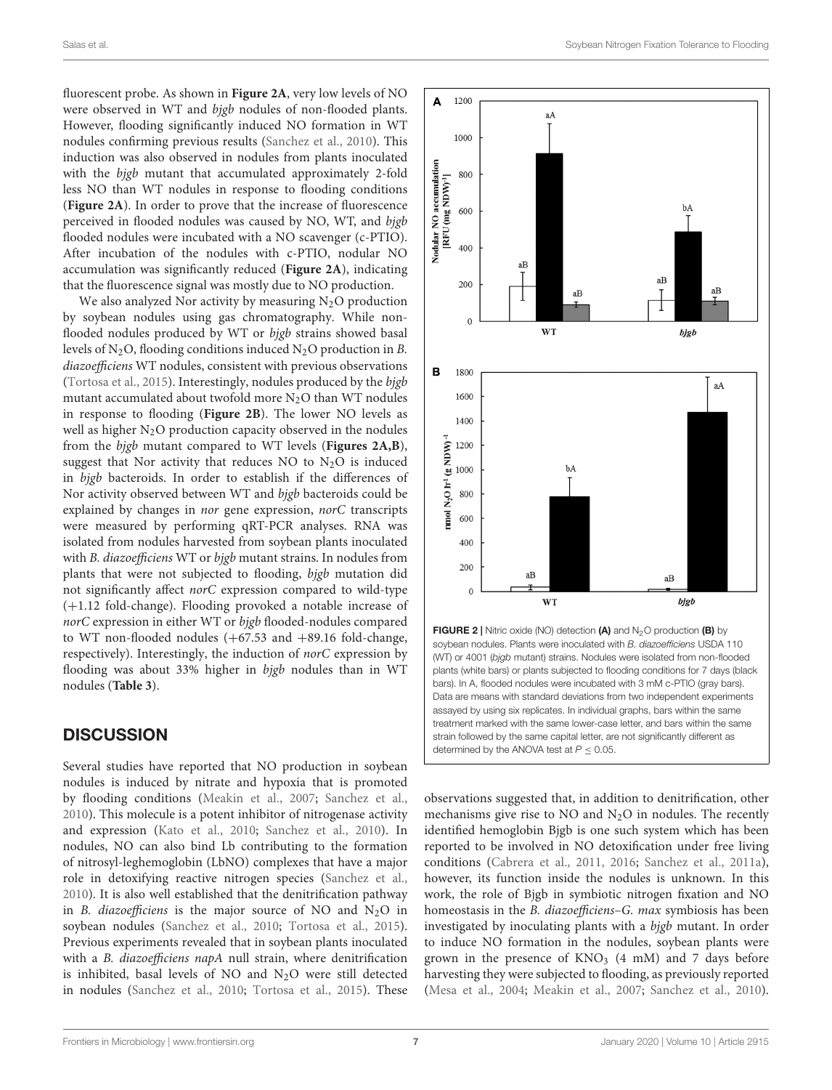fluorescent probe. As shown in **[Figure 2A](#page-6-0)**, very low levels of NO were observed in WT and bjgb nodules of non-flooded plants. However, flooding significantly induced NO formation in WT nodules confirming previous results [\(Sanchez et al.,](#page-10-3) [2010\)](#page-10-3). This induction was also observed in nodules from plants inoculated with the bjgb mutant that accumulated approximately 2-fold less NO than WT nodules in response to flooding conditions (**[Figure 2A](#page-6-0)**). In order to prove that the increase of fluorescence perceived in flooded nodules was caused by NO, WT, and bjgb flooded nodules were incubated with a NO scavenger (c-PTIO). After incubation of the nodules with c-PTIO, nodular NO accumulation was significantly reduced (**[Figure 2A](#page-6-0)**), indicating that the fluorescence signal was mostly due to NO production.

We also analyzed Nor activity by measuring  $N<sub>2</sub>O$  production by soybean nodules using gas chromatography. While nonflooded nodules produced by WT or bjgb strains showed basal levels of  $N_2O$ , flooding conditions induced  $N_2O$  production in B. diazoefficiens WT nodules, consistent with previous observations [\(Tortosa et al.,](#page-10-19) [2015\)](#page-10-19). Interestingly, nodules produced by the bjgb mutant accumulated about twofold more  $N_2O$  than WT nodules in response to flooding (**[Figure 2B](#page-6-0)**). The lower NO levels as well as higher  $N_2O$  production capacity observed in the nodules from the bjgb mutant compared to WT levels (**[Figures 2A,B](#page-6-0)**), suggest that Nor activity that reduces NO to  $N_2O$  is induced in bjgb bacteroids. In order to establish if the differences of Nor activity observed between WT and bjgb bacteroids could be explained by changes in nor gene expression, norC transcripts were measured by performing qRT-PCR analyses. RNA was isolated from nodules harvested from soybean plants inoculated with B. diazoefficiens WT or bjgb mutant strains. In nodules from plants that were not subjected to flooding, bjgb mutation did not significantly affect norC expression compared to wild-type (+1.12 fold-change). Flooding provoked a notable increase of norC expression in either WT or bjgb flooded-nodules compared to WT non-flooded nodules  $(+67.53 \text{ and } +89.16 \text{ fold-change}$ , respectively). Interestingly, the induction of norC expression by flooding was about 33% higher in bigb nodules than in WT nodules (**[Table 3](#page-5-2)**).

## **DISCUSSION**

Several studies have reported that NO production in soybean nodules is induced by nitrate and hypoxia that is promoted by flooding conditions [\(Meakin et al.,](#page-9-24) [2007;](#page-9-24) [Sanchez et al.,](#page-10-3) [2010\)](#page-10-3). This molecule is a potent inhibitor of nitrogenase activity and expression [\(Kato et al.,](#page-9-0) [2010;](#page-9-0) [Sanchez et al.,](#page-10-3) [2010\)](#page-10-3). In nodules, NO can also bind Lb contributing to the formation of nitrosyl-leghemoglobin (LbNO) complexes that have a major role in detoxifying reactive nitrogen species [\(Sanchez et al.,](#page-10-3) [2010\)](#page-10-3). It is also well established that the denitrification pathway in B. diazoefficiens is the major source of NO and  $N_2O$  in soybean nodules [\(Sanchez et al.,](#page-10-3) [2010;](#page-10-3) [Tortosa et al.,](#page-10-19) [2015\)](#page-10-19). Previous experiments revealed that in soybean plants inoculated with a *B. diazoefficiens napA* null strain, where denitrification is inhibited, basal levels of NO and N2O were still detected in nodules [\(Sanchez et al.,](#page-10-3) [2010;](#page-10-3) [Tortosa et al.,](#page-10-19) [2015\)](#page-10-19). These



<span id="page-6-0"></span>soybean nodules. Plants were inoculated with B. diazoefficiens USDA 110. (WT) or 4001 (bjgb mutant) strains. Nodules were isolated from non-flooded plants (white bars) or plants subjected to flooding conditions for 7 days (black bars). In A, flooded nodules were incubated with 3 mM c-PTIO (gray bars). Data are means with standard deviations from two independent experiments assayed by using six replicates. In individual graphs, bars within the same treatment marked with the same lower-case letter, and bars within the same strain followed by the same capital letter, are not significantly different as determined by the ANOVA test at  $P \leq 0.05$ .

observations suggested that, in addition to denitrification, other mechanisms give rise to NO and  $N_2O$  in nodules. The recently identified hemoglobin Bjgb is one such system which has been reported to be involved in NO detoxification under free living conditions [\(Cabrera et al.,](#page-9-25) [2011,](#page-9-25) [2016;](#page-9-18) [Sanchez et al.,](#page-10-20) [2011a\)](#page-10-20), however, its function inside the nodules is unknown. In this work, the role of Bjgb in symbiotic nitrogen fixation and NO homeostasis in the *B. diazoefficiens–G. max symbiosis* has been investigated by inoculating plants with a bjgb mutant. In order to induce NO formation in the nodules, soybean plants were grown in the presence of  $KNO<sub>3</sub>$  (4 mM) and 7 days before harvesting they were subjected to flooding, as previously reported [\(Mesa et al.,](#page-9-20) [2004;](#page-9-20) [Meakin et al.,](#page-9-24) [2007;](#page-9-24) [Sanchez et al.,](#page-10-3) [2010\)](#page-10-3).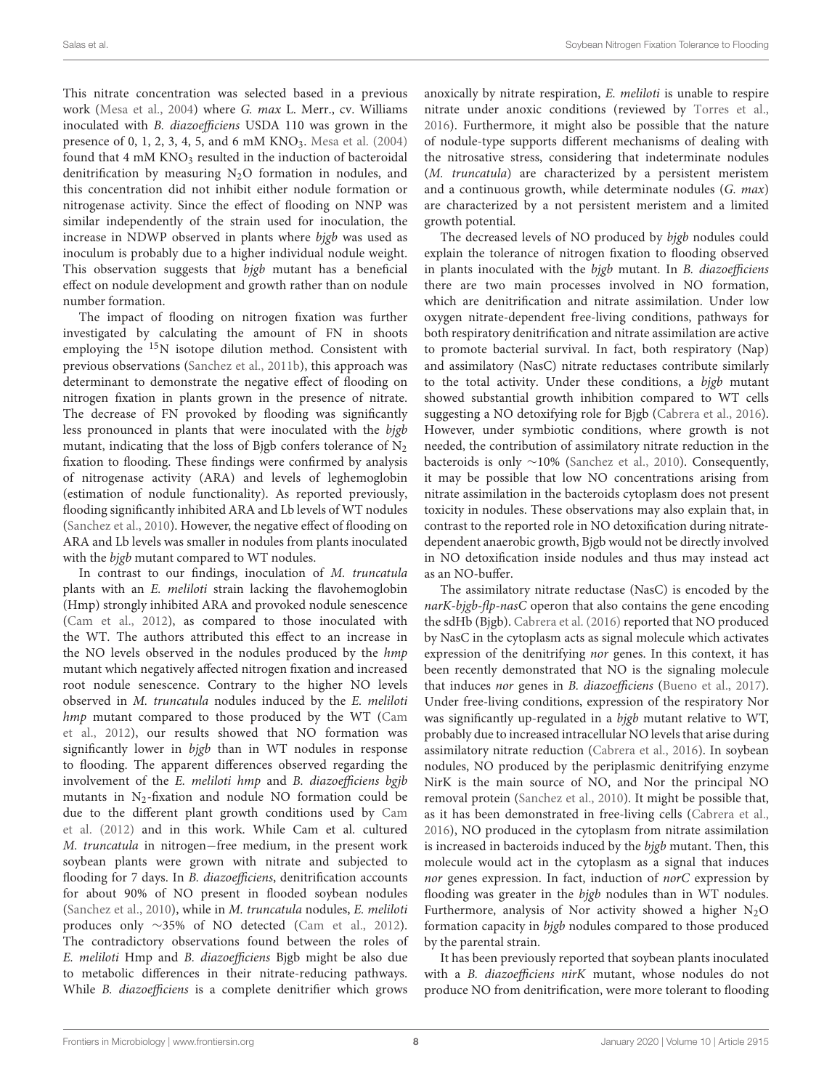This nitrate concentration was selected based in a previous work [\(Mesa et al.,](#page-9-20) [2004\)](#page-9-20) where G. max L. Merr., cv. Williams inoculated with B. diazoefficiens USDA 110 was grown in the presence of 0, 1, 2, 3, 4, 5, and 6 mM  $KNO<sub>3</sub>$ . [Mesa et al.](#page-9-20) [\(2004\)](#page-9-20) found that  $4 \text{ mM KNO}_3$  resulted in the induction of bacteroidal denitrification by measuring  $N<sub>2</sub>O$  formation in nodules, and this concentration did not inhibit either nodule formation or nitrogenase activity. Since the effect of flooding on NNP was similar independently of the strain used for inoculation, the increase in NDWP observed in plants where bjgb was used as inoculum is probably due to a higher individual nodule weight. This observation suggests that bjgb mutant has a beneficial effect on nodule development and growth rather than on nodule number formation.

The impact of flooding on nitrogen fixation was further investigated by calculating the amount of FN in shoots employing the <sup>15</sup>N isotope dilution method. Consistent with previous observations [\(Sanchez et al.,](#page-10-16) [2011b\)](#page-10-16), this approach was determinant to demonstrate the negative effect of flooding on nitrogen fixation in plants grown in the presence of nitrate. The decrease of FN provoked by flooding was significantly less pronounced in plants that were inoculated with the bjgb mutant, indicating that the loss of Bjgb confers tolerance of  $N_2$ fixation to flooding. These findings were confirmed by analysis of nitrogenase activity (ARA) and levels of leghemoglobin (estimation of nodule functionality). As reported previously, flooding significantly inhibited ARA and Lb levels of WT nodules [\(Sanchez et al.,](#page-10-3) [2010\)](#page-10-3). However, the negative effect of flooding on ARA and Lb levels was smaller in nodules from plants inoculated with the bjgb mutant compared to WT nodules.

In contrast to our findings, inoculation of M. truncatula plants with an E. meliloti strain lacking the flavohemoglobin (Hmp) strongly inhibited ARA and provoked nodule senescence [\(Cam et al.,](#page-9-13) [2012\)](#page-9-13), as compared to those inoculated with the WT. The authors attributed this effect to an increase in the NO levels observed in the nodules produced by the hmp mutant which negatively affected nitrogen fixation and increased root nodule senescence. Contrary to the higher NO levels observed in M. truncatula nodules induced by the E. meliloti hmp mutant compared to those produced by the WT [\(Cam](#page-9-13) [et al.,](#page-9-13) [2012\)](#page-9-13), our results showed that NO formation was significantly lower in bjgb than in WT nodules in response to flooding. The apparent differences observed regarding the involvement of the E. meliloti hmp and B. diazoefficiens bgjb mutants in N2-fixation and nodule NO formation could be due to the different plant growth conditions used by [Cam](#page-9-13) [et al.](#page-9-13) [\(2012\)](#page-9-13) and in this work. While Cam et al. cultured M. truncatula in nitrogen−free medium, in the present work soybean plants were grown with nitrate and subjected to flooding for 7 days. In *B. diazoefficiens*, denitrification accounts for about 90% of NO present in flooded soybean nodules [\(Sanchez et al.,](#page-10-3) [2010\)](#page-10-3), while in M. truncatula nodules, E. meliloti produces only ∼35% of NO detected [\(Cam et al.,](#page-9-13) [2012\)](#page-9-13). The contradictory observations found between the roles of E. meliloti Hmp and B. diazoefficiens Bjgb might be also due to metabolic differences in their nitrate-reducing pathways. While B. diazoefficiens is a complete denitrifier which grows

anoxically by nitrate respiration, E. meliloti is unable to respire nitrate under anoxic conditions (reviewed by [Torres et al.,](#page-10-7) [2016\)](#page-10-7). Furthermore, it might also be possible that the nature of nodule-type supports different mechanisms of dealing with the nitrosative stress, considering that indeterminate nodules (M. truncatula) are characterized by a persistent meristem and a continuous growth, while determinate nodules (G. max) are characterized by a not persistent meristem and a limited growth potential.

The decreased levels of NO produced by bjgb nodules could explain the tolerance of nitrogen fixation to flooding observed in plants inoculated with the bjgb mutant. In B. diazoefficiens there are two main processes involved in NO formation, which are denitrification and nitrate assimilation. Under low oxygen nitrate-dependent free-living conditions, pathways for both respiratory denitrification and nitrate assimilation are active to promote bacterial survival. In fact, both respiratory (Nap) and assimilatory (NasC) nitrate reductases contribute similarly to the total activity. Under these conditions, a bjgb mutant showed substantial growth inhibition compared to WT cells suggesting a NO detoxifying role for Bjgb [\(Cabrera et al.,](#page-9-18) [2016\)](#page-9-18). However, under symbiotic conditions, where growth is not needed, the contribution of assimilatory nitrate reduction in the bacteroids is only ∼10% [\(Sanchez et al.,](#page-10-3) [2010\)](#page-10-3). Consequently, it may be possible that low NO concentrations arising from nitrate assimilation in the bacteroids cytoplasm does not present toxicity in nodules. These observations may also explain that, in contrast to the reported role in NO detoxification during nitratedependent anaerobic growth, Bjgb would not be directly involved in NO detoxification inside nodules and thus may instead act as an NO-buffer.

The assimilatory nitrate reductase (NasC) is encoded by the narK-bjgb-flp-nasC operon that also contains the gene encoding the sdHb (Bjgb). [Cabrera et al.](#page-9-18) [\(2016\)](#page-9-18) reported that NO produced by NasC in the cytoplasm acts as signal molecule which activates expression of the denitrifying nor genes. In this context, it has been recently demonstrated that NO is the signaling molecule that induces nor genes in B. diazoefficiens [\(Bueno et al.,](#page-9-26) [2017\)](#page-9-26). Under free-living conditions, expression of the respiratory Nor was significantly up-regulated in a bjgb mutant relative to WT, probably due to increased intracellular NO levels that arise during assimilatory nitrate reduction [\(Cabrera et al.,](#page-9-18) [2016\)](#page-9-18). In soybean nodules, NO produced by the periplasmic denitrifying enzyme NirK is the main source of NO, and Nor the principal NO removal protein [\(Sanchez et al.,](#page-10-3) [2010\)](#page-10-3). It might be possible that, as it has been demonstrated in free-living cells [\(Cabrera et al.,](#page-9-18) [2016\)](#page-9-18), NO produced in the cytoplasm from nitrate assimilation is increased in bacteroids induced by the bjgb mutant. Then, this molecule would act in the cytoplasm as a signal that induces nor genes expression. In fact, induction of norC expression by flooding was greater in the bjgb nodules than in WT nodules. Furthermore, analysis of Nor activity showed a higher  $N_2O$ formation capacity in bjgb nodules compared to those produced by the parental strain.

It has been previously reported that soybean plants inoculated with a B. diazoefficiens nirK mutant, whose nodules do not produce NO from denitrification, were more tolerant to flooding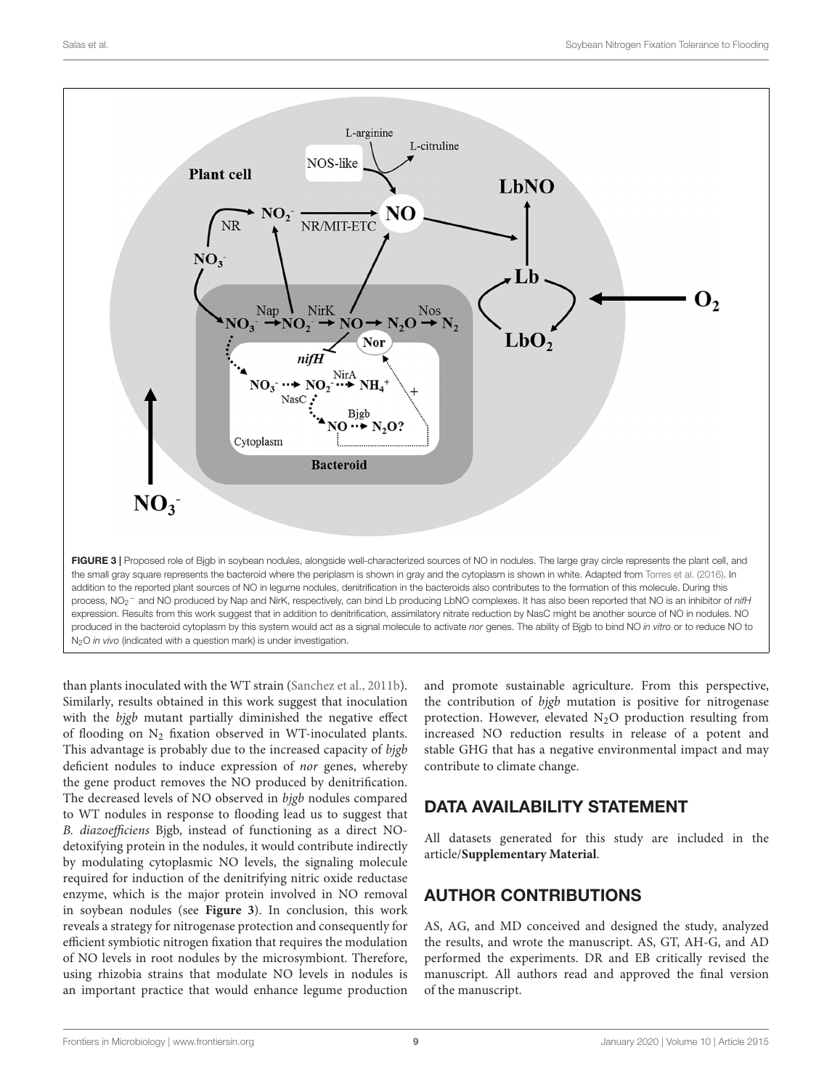

<span id="page-8-0"></span>than plants inoculated with the WT strain [\(Sanchez et al.,](#page-10-16) [2011b\)](#page-10-16). Similarly, results obtained in this work suggest that inoculation with the bjgb mutant partially diminished the negative effect of flooding on  $N_2$  fixation observed in WT-inoculated plants. This advantage is probably due to the increased capacity of bjgb deficient nodules to induce expression of nor genes, whereby the gene product removes the NO produced by denitrification. The decreased levels of NO observed in bjgb nodules compared to WT nodules in response to flooding lead us to suggest that B. diazoefficiens Bjgb, instead of functioning as a direct NOdetoxifying protein in the nodules, it would contribute indirectly by modulating cytoplasmic NO levels, the signaling molecule required for induction of the denitrifying nitric oxide reductase enzyme, which is the major protein involved in NO removal in soybean nodules (see **[Figure 3](#page-8-0)**). In conclusion, this work reveals a strategy for nitrogenase protection and consequently for efficient symbiotic nitrogen fixation that requires the modulation of NO levels in root nodules by the microsymbiont. Therefore, using rhizobia strains that modulate NO levels in nodules is an important practice that would enhance legume production

and promote sustainable agriculture. From this perspective, the contribution of bjgb mutation is positive for nitrogenase protection. However, elevated N2O production resulting from increased NO reduction results in release of a potent and stable GHG that has a negative environmental impact and may contribute to climate change.

# DATA AVAILABILITY STATEMENT

All datasets generated for this study are included in the article/**[Supplementary Material](#page-9-21)**.

# AUTHOR CONTRIBUTIONS

AS, AG, and MD conceived and designed the study, analyzed the results, and wrote the manuscript. AS, GT, AH-G, and AD performed the experiments. DR and EB critically revised the manuscript. All authors read and approved the final version of the manuscript.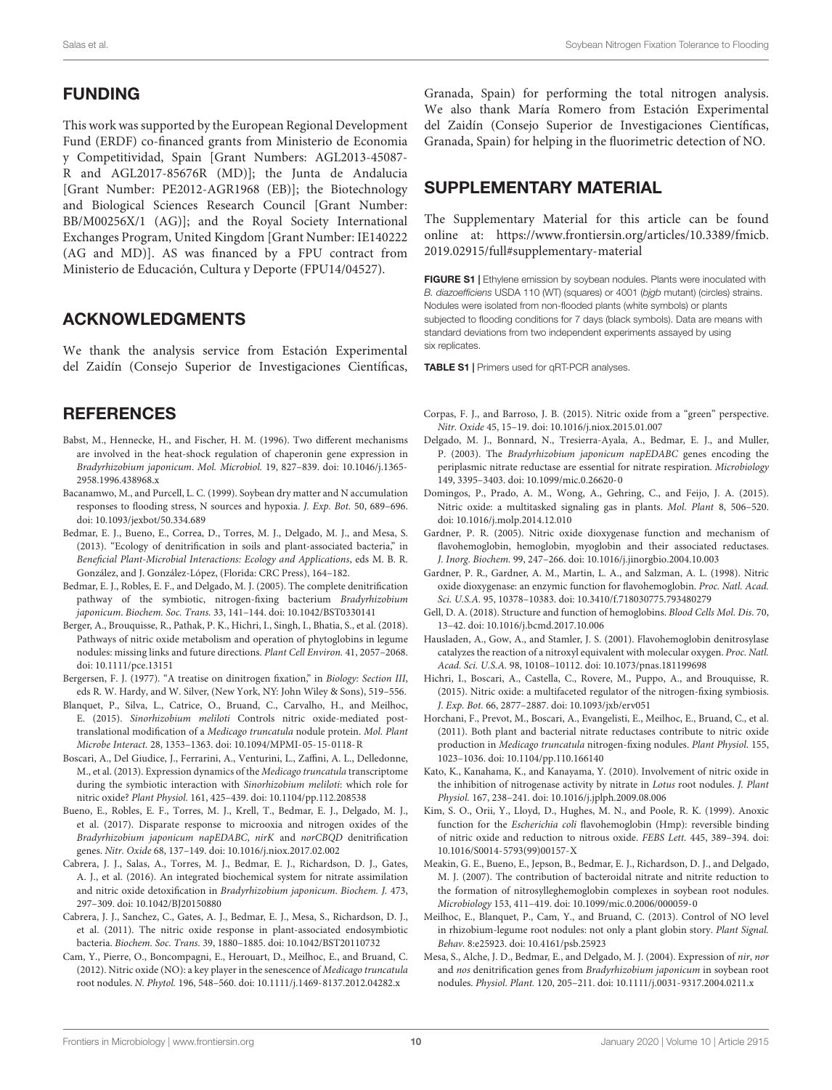# FUNDING

This work was supported by the European Regional Development Fund (ERDF) co-financed grants from Ministerio de Economia y Competitividad, Spain [Grant Numbers: AGL2013-45087- R and AGL2017-85676R (MD)]; the Junta de Andalucia [Grant Number: PE2012-AGR1968 (EB)]; the Biotechnology and Biological Sciences Research Council [Grant Number: BB/M00256X/1 (AG)]; and the Royal Society International Exchanges Program, United Kingdom [Grant Number: IE140222 (AG and MD)]. AS was financed by a FPU contract from Ministerio de Educación, Cultura y Deporte (FPU14/04527).

# ACKNOWLEDGMENTS

We thank the analysis service from Estación Experimental del Zaidín (Consejo Superior de Investigaciones Científicas,

# **REFERENCES**

- <span id="page-9-22"></span>Babst, M., Hennecke, H., and Fischer, H. M. (1996). Two different mechanisms are involved in the heat-shock regulation of chaperonin gene expression in Bradyrhizobium japonicum. Mol. Microbiol. 19, 827–839. [doi: 10.1046/j.1365-](https://doi.org/10.1046/j.1365-2958.1996.438968.x) [2958.1996.438968.x](https://doi.org/10.1046/j.1365-2958.1996.438968.x)
- <span id="page-9-23"></span>Bacanamwo, M., and Purcell, L. C. (1999). Soybean dry matter and N accumulation responses to flooding stress, N sources and hypoxia. J. Exp. Bot. 50, 689–696. [doi: 10.1093/jexbot/50.334.689](https://doi.org/10.1093/jexbot/50.334.689)
- <span id="page-9-16"></span>Bedmar, E. J., Bueno, E., Correa, D., Torres, M. J., Delgado, M. J., and Mesa, S. (2013). "Ecology of denitrification in soils and plant-associated bacteria," in Beneficial Plant-Microbial Interactions: Ecology and Applications, eds M. B. R. González, and J. González-López, (Florida: CRC Press), 164–182.
- <span id="page-9-15"></span>Bedmar, E. J., Robles, E. F., and Delgado, M. J. (2005). The complete denitrification pathway of the symbiotic, nitrogen-fixing bacterium Bradyrhizobium japonicum. Biochem. Soc. Trans. 33, 141–144. [doi: 10.1042/BST0330141](https://doi.org/10.1042/BST0330141)
- <span id="page-9-4"></span>Berger, A., Brouquisse, R., Pathak, P. K., Hichri, I., Singh, I., Bhatia, S., et al. (2018). Pathways of nitric oxide metabolism and operation of phytoglobins in legume nodules: missing links and future directions. Plant Cell Environ. 41, 2057–2068. [doi: 10.1111/pce.13151](https://doi.org/10.1111/pce.13151)
- <span id="page-9-19"></span>Bergersen, F. J. (1977). "A treatise on dinitrogen fixation," in Biology: Section III, eds R. W. Hardy, and W. Silver, (New York, NY: John Wiley & Sons), 519–556.
- <span id="page-9-12"></span>Blanquet, P., Silva, L., Catrice, O., Bruand, C., Carvalho, H., and Meilhoc, E. (2015). Sinorhizobium meliloti Controls nitric oxide-mediated posttranslational modification of a Medicago truncatula nodule protein. Mol. Plant Microbe Interact. 28, 1353–1363. [doi: 10.1094/MPMI-05-15-0118-R](https://doi.org/10.1094/MPMI-05-15-0118-R)
- <span id="page-9-6"></span>Boscari, A., Del Giudice, J., Ferrarini, A., Venturini, L., Zaffini, A. L., Delledonne, M., et al. (2013). Expression dynamics of the Medicago truncatula transcriptome during the symbiotic interaction with Sinorhizobium meliloti: which role for nitric oxide? Plant Physiol. 161, 425–439. [doi: 10.1104/pp.112.208538](https://doi.org/10.1104/pp.112.208538)
- <span id="page-9-26"></span>Bueno, E., Robles, E. F., Torres, M. J., Krell, T., Bedmar, E. J., Delgado, M. J., et al. (2017). Disparate response to microoxia and nitrogen oxides of the Bradyrhizobium japonicum napEDABC, nirK and norCBQD denitrification genes. Nitr. Oxide 68, 137–149. [doi: 10.1016/j.niox.2017.02.002](https://doi.org/10.1016/j.niox.2017.02.002)
- <span id="page-9-18"></span>Cabrera, J. J., Salas, A., Torres, M. J., Bedmar, E. J., Richardson, D. J., Gates, A. J., et al. (2016). An integrated biochemical system for nitrate assimilation and nitric oxide detoxification in Bradyrhizobium japonicum. Biochem. J. 473, 297–309. [doi: 10.1042/BJ20150880](https://doi.org/10.1042/BJ20150880)
- <span id="page-9-25"></span>Cabrera, J. J., Sanchez, C., Gates, A. J., Bedmar, E. J., Mesa, S., Richardson, D. J., et al. (2011). The nitric oxide response in plant-associated endosymbiotic bacteria. Biochem. Soc. Trans. 39, 1880–1885. [doi: 10.1042/BST20110732](https://doi.org/10.1042/BST20110732)
- <span id="page-9-13"></span>Cam, Y., Pierre, O., Boncompagni, E., Herouart, D., Meilhoc, E., and Bruand, C. (2012). Nitric oxide (NO): a key player in the senescence of Medicago truncatula root nodules. N. Phytol. 196, 548–560. [doi: 10.1111/j.1469-8137.2012.04282.x](https://doi.org/10.1111/j.1469-8137.2012.04282.x)

Granada, Spain) for performing the total nitrogen analysis. We also thank María Romero from Estación Experimental del Zaidín (Consejo Superior de Investigaciones Científicas, Granada, Spain) for helping in the fluorimetric detection of NO.

# <span id="page-9-21"></span>SUPPLEMENTARY MATERIAL

The Supplementary Material for this article can be found online at: [https://www.frontiersin.org/articles/10.3389/fmicb.](https://www.frontiersin.org/articles/10.3389/fmicb.2019.02915/full#supplementary-material) [2019.02915/full#supplementary-material](https://www.frontiersin.org/articles/10.3389/fmicb.2019.02915/full#supplementary-material)

FIGURE S1 | Ethylene emission by soybean nodules. Plants were inoculated with B. diazoefficiens USDA 110 (WT) (squares) or 4001 (bjgb mutant) (circles) strains. Nodules were isolated from non-flooded plants (white symbols) or plants subjected to flooding conditions for 7 days (black symbols). Data are means with standard deviations from two independent experiments assayed by using six replicates.

TABLE S1 | Primers used for qRT-PCR analyses.

- <span id="page-9-1"></span>Corpas, F. J., and Barroso, J. B. (2015). Nitric oxide from a "green" perspective. Nitr. Oxide 45, 15–19. [doi: 10.1016/j.niox.2015.01.007](https://doi.org/10.1016/j.niox.2015.01.007)
- <span id="page-9-17"></span>Delgado, M. J., Bonnard, N., Tresierra-Ayala, A., Bedmar, E. J., and Muller, P. (2003). The Bradyrhizobium japonicum napEDABC genes encoding the periplasmic nitrate reductase are essential for nitrate respiration. Microbiology 149, 3395–3403. [doi: 10.1099/mic.0.26620-0](https://doi.org/10.1099/mic.0.26620-0)
- <span id="page-9-2"></span>Domingos, P., Prado, A. M., Wong, A., Gehring, C., and Feijo, J. A. (2015). Nitric oxide: a multitasked signaling gas in plants. Mol. Plant 8, 506–520. [doi: 10.1016/j.molp.2014.12.010](https://doi.org/10.1016/j.molp.2014.12.010)
- <span id="page-9-10"></span>Gardner, P. R. (2005). Nitric oxide dioxygenase function and mechanism of flavohemoglobin, hemoglobin, myoglobin and their associated reductases. J. Inorg. Biochem. 99, 247–266. [doi: 10.1016/j.jinorgbio.2004.10.003](https://doi.org/10.1016/j.jinorgbio.2004.10.003)
- <span id="page-9-8"></span>Gardner, P. R., Gardner, A. M., Martin, L. A., and Salzman, A. L. (1998). Nitric oxide dioxygenase: an enzymic function for flavohemoglobin. Proc. Natl. Acad. Sci. U.S.A. 95, 10378–10383. [doi: 10.3410/f.718030775.793480279](https://doi.org/10.3410/f.718030775.793480279)
- <span id="page-9-7"></span>Gell, D. A. (2018). Structure and function of hemoglobins. Blood Cells Mol. Dis. 70, 13–42. [doi: 10.1016/j.bcmd.2017.10.006](https://doi.org/10.1016/j.bcmd.2017.10.006)
- <span id="page-9-9"></span>Hausladen, A., Gow, A., and Stamler, J. S. (2001). Flavohemoglobin denitrosylase catalyzes the reaction of a nitroxyl equivalent with molecular oxygen. Proc. Natl. Acad. Sci. U.S.A. 98, 10108–10112. [doi: 10.1073/pnas.181199698](https://doi.org/10.1073/pnas.181199698)
- <span id="page-9-3"></span>Hichri, I., Boscari, A., Castella, C., Rovere, M., Puppo, A., and Brouquisse, R. (2015). Nitric oxide: a multifaceted regulator of the nitrogen-fixing symbiosis. J. Exp. Bot. 66, 2877–2887. [doi: 10.1093/jxb/erv051](https://doi.org/10.1093/jxb/erv051)
- <span id="page-9-5"></span>Horchani, F., Prevot, M., Boscari, A., Evangelisti, E., Meilhoc, E., Bruand, C., et al. (2011). Both plant and bacterial nitrate reductases contribute to nitric oxide production in Medicago truncatula nitrogen-fixing nodules. Plant Physiol. 155, 1023–1036. [doi: 10.1104/pp.110.166140](https://doi.org/10.1104/pp.110.166140)
- <span id="page-9-0"></span>Kato, K., Kanahama, K., and Kanayama, Y. (2010). Involvement of nitric oxide in the inhibition of nitrogenase activity by nitrate in Lotus root nodules. J. Plant Physiol. 167, 238–241. [doi: 10.1016/j.jplph.2009.08.006](https://doi.org/10.1016/j.jplph.2009.08.006)
- <span id="page-9-11"></span>Kim, S. O., Orii, Y., Lloyd, D., Hughes, M. N., and Poole, R. K. (1999). Anoxic function for the Escherichia coli flavohemoglobin (Hmp): reversible binding of nitric oxide and reduction to nitrous oxide. FEBS Lett. 445, 389–394. [doi:](https://doi.org/10.1016/S0014-5793(99)00157-X) [10.1016/S0014-5793\(99\)00157-X](https://doi.org/10.1016/S0014-5793(99)00157-X)
- <span id="page-9-24"></span>Meakin, G. E., Bueno, E., Jepson, B., Bedmar, E. J., Richardson, D. J., and Delgado, M. J. (2007). The contribution of bacteroidal nitrate and nitrite reduction to the formation of nitrosylleghemoglobin complexes in soybean root nodules. Microbiology 153, 411–419. [doi: 10.1099/mic.0.2006/000059-0](https://doi.org/10.1099/mic.0.2006/000059-0)
- <span id="page-9-14"></span>Meilhoc, E., Blanquet, P., Cam, Y., and Bruand, C. (2013). Control of NO level in rhizobium-legume root nodules: not only a plant globin story. Plant Signal. Behav. 8:e25923. [doi: 10.4161/psb.25923](https://doi.org/10.4161/psb.25923)
- <span id="page-9-20"></span>Mesa, S., Alche, J. D., Bedmar, E., and Delgado, M. J. (2004). Expression of nir, nor and nos denitrification genes from Bradyrhizobium japonicum in soybean root nodules. Physiol. Plant. 120, 205–211. [doi: 10.1111/j.0031-9317.2004.0211.x](https://doi.org/10.1111/j.0031-9317.2004.0211.x)